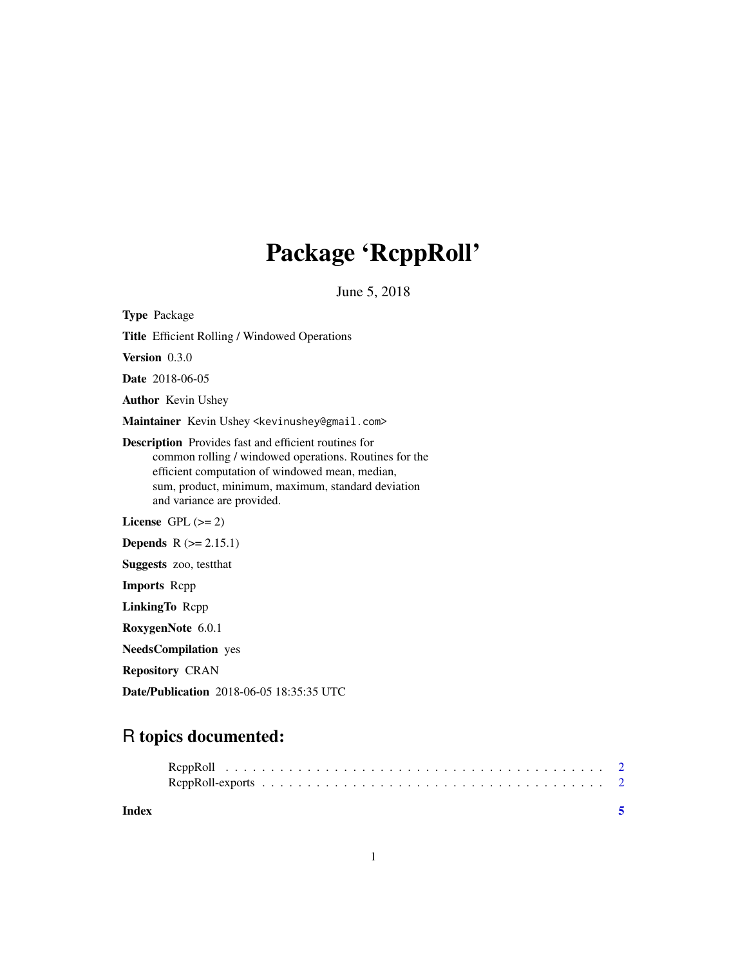# Package 'RcppRoll'

June 5, 2018

Type Package

Title Efficient Rolling / Windowed Operations

Version 0.3.0

Date 2018-06-05

Author Kevin Ushey

Maintainer Kevin Ushey <kevinushey@gmail.com>

Description Provides fast and efficient routines for common rolling / windowed operations. Routines for the efficient computation of windowed mean, median, sum, product, minimum, maximum, standard deviation and variance are provided.

License  $GPL (= 2)$ 

**Depends**  $R$  ( $>= 2.15.1$ )

Suggests zoo, testthat

Imports Rcpp

LinkingTo Rcpp

RoxygenNote 6.0.1

NeedsCompilation yes

Repository CRAN

Date/Publication 2018-06-05 18:35:35 UTC

# R topics documented:

| Index |  |
|-------|--|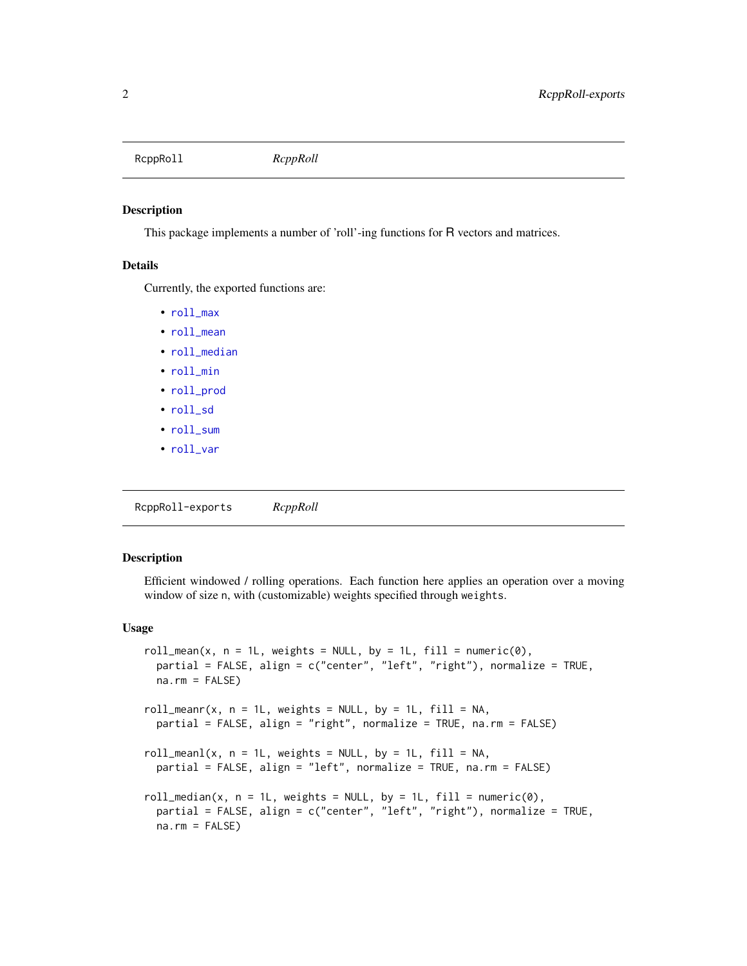<span id="page-1-0"></span>RcppRoll *RcppRoll*

### Description

This package implements a number of 'roll'-ing functions for R vectors and matrices.

## Details

Currently, the exported functions are:

- [roll\\_max](#page-1-1)
- [roll\\_mean](#page-1-1)
- [roll\\_median](#page-1-1)
- [roll\\_min](#page-1-1)
- [roll\\_prod](#page-1-1)
- [roll\\_sd](#page-1-1)
- [roll\\_sum](#page-1-1)
- [roll\\_var](#page-1-1)

RcppRoll-exports *RcppRoll*

# <span id="page-1-1"></span>Description

Efficient windowed / rolling operations. Each function here applies an operation over a moving window of size n, with (customizable) weights specified through weights.

#### Usage

```
roll_mean(x, n = 1L, weights = NULL, by = 1L, fill = numeric(0),partial = FALSE, align = c("center", "left", "right"), normalize = TRUE,
 na.rm = FALSE)roll_meanr(x, n = 1L, weights = NULL, by = 1L, fill = NA,partial = FALSE, align = "right", normalize = TRUE, na.rm = FALSE)
roll_mean(x, n = 1L, weights = NULL, by = 1L, fill = NA,partial = FALSE, align = "left", normalize = TRUE, na.rm = FALSE)
roll_median(x, n = 1L, weights = NULL, by = 1L, fill = numeric(0),
 partial = FALSE, align = c("center", "left", "right"), normalize = TRUE,
 na.rm = FALSE)
```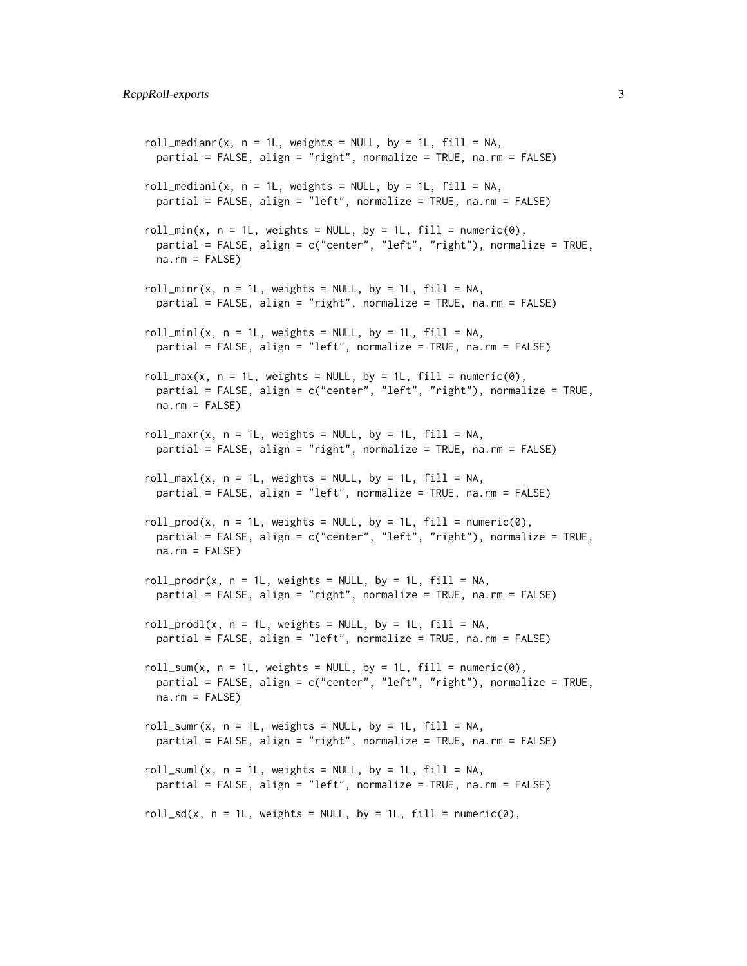```
roll_medianr(x, n = 1L, weights = NULL, by = 1L, fill = NA,
 partial = FALSE, align = "right", normalize = TRUE, na.rm = FALSE)
roll\_median1(x, n = 1L, weights = NULL, by = 1L, fill = NA,partial = FALSE, align = "left", normalize = TRUE, na.rm = FALSE)
roll\_min(x, n = 1L, weights = NULL, by = 1L, fill = numeric(0),partial = FALSE, align = c("center", "left", "right"), normalize = TRUE,
 na.rm = FALSE)
roll\_min(x, n = 1L, weights = NULL, by = 1L, fill = NA,partial = FALSE, align = "right", normalize = TRUE, na.rm = FALSE)
roll_minl(x, n = 1L, weights = NULL, by = 1L, fill = NA,
  partial = FALSE, align = "left", normalize = TRUE, na.rm = FALSE)
roll_max(x, n = 1L, weights = NULL, by = 1L, fill = numeric(0),
 partial = FALSE, align = c("center", "left", "right"), normalize = TRUE,
 na.rm = FALSE)
roll_max(x, n = 1L, weights = NULL, by = 1L, fill = NA,partial = FALSE, align = "right", normalize = TRUE, na.rm = FALSE)
roll_maxl(x, n = 1L, weights = NULL, by = 1L, fill = NA,
 partial = FALSE, align = "left", normalize = TRUE, na.rm = FALSE)
roll\_prod(x, n = 1L, weights = NULL, by = 1L, fill = numeric(0),partial = FALSE, align = c("center", "left", "right"), normalize = TRUE,
 na.rm = FALSE)
roll\_prod(x, n = 1L, weights = NULL, by = 1L, fill = NA,partial = FALSE, align = "right", normalize = TRUE, na.rm = FALSE)
roll\_prod(x, n = 1L, weights = NULL, by = 1L, fill = NA,partial = FALSE, align = "left", normalize = TRUE, na.rm = FALSE)
roll_sum(x, n = 1L, weights = NULL, by = 1L, fill = numeric(0),
 partial = FALSE, align = c("center", "left", "right"), normalize = TRUE,
 na.rm = FALSE)
roll\_sum(x, n = 1L, weights = NULL, by = 1L, fill = NA,partial = FALSE, align = "right", normalize = TRUE, na.rm = FALSE)
roll_suml(x, n = 1L, weights = NULL, by = 1L, fill = NA,
  partial = FALSE, align = "left", normalize = TRUE, na.rm = FALSE)
roll_sd(x, n = 1L, weights = NULL, by = 1L, fill = numeric(0),
```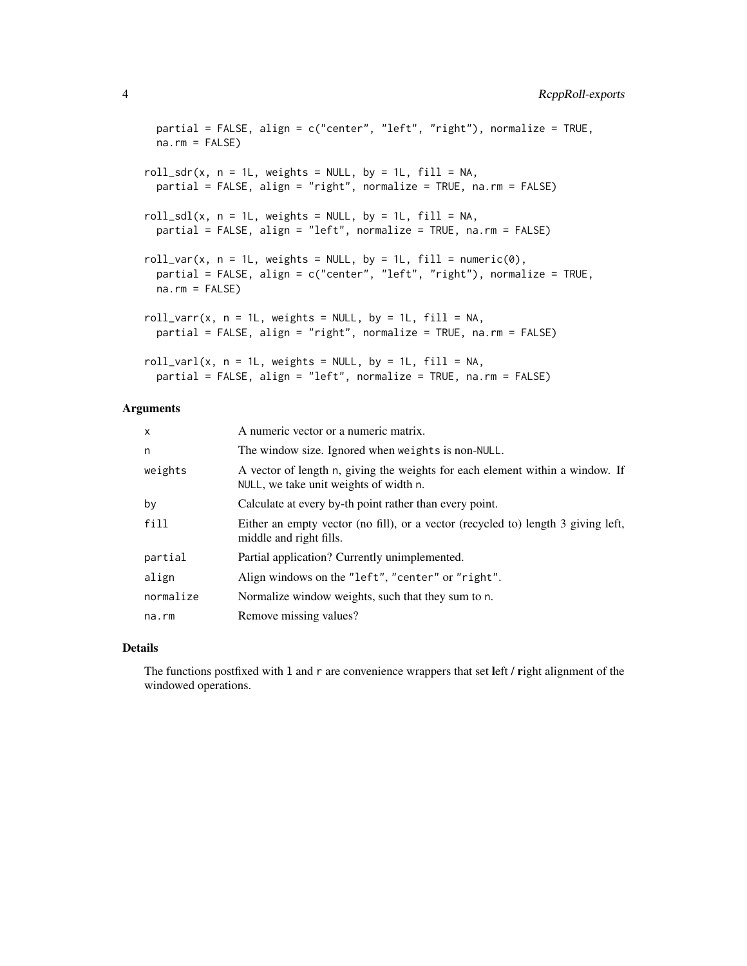```
partial = FALSE, align = c("center", "left", "right"), normalize = TRUE,
 na.rm = FALSEroll_sdr(x, n = 1L, weights = NULL, by = 1L, fill = NA,
 partial = FALSE, align = "right", normalize = TRUE, na.rm = FALSE)
roll_sdl(x, n = 1L, weights = NULL, by = 1L, fill = NA,
 partial = FALSE, align = "left", normalize = TRUE, na.rm = FALSE)
roll_var(x, n = 1L, weights = NULL, by = 1L, fill = numeric(0),
 partial = FALSE, align = c("center", "left", "right"), normalize = TRUE,
 na.rm = FALSE)roll_varr(x, n = 1L, weights = NULL, by = 1L, fill = NA,
 partial = FALSE, align = "right", normalize = TRUE, na.rm = FALSE)
roll\_varl(x, n = 1L, weights = NULL, by = 1L, fill = NA,partial = FALSE, align = "left", normalize = TRUE, na.rm = FALSE)
```
## Arguments

| x         | A numeric vector or a numeric matrix.                                                                                   |
|-----------|-------------------------------------------------------------------------------------------------------------------------|
| n         | The window size. Ignored when weights is non-NULL.                                                                      |
| weights   | A vector of length n, giving the weights for each element within a window. If<br>NULL, we take unit weights of width n. |
| by        | Calculate at every by-th point rather than every point.                                                                 |
| fill      | Either an empty vector (no fill), or a vector (recycled to) length 3 giving left,<br>middle and right fills.            |
| partial   | Partial application? Currently unimplemented.                                                                           |
| align     | Align windows on the "left", "center" or "right".                                                                       |
| normalize | Normalize window weights, such that they sum to n.                                                                      |
| na.rm     | Remove missing values?                                                                                                  |
|           |                                                                                                                         |

# Details

The functions postfixed with 1 and r are convenience wrappers that set left / right alignment of the windowed operations.